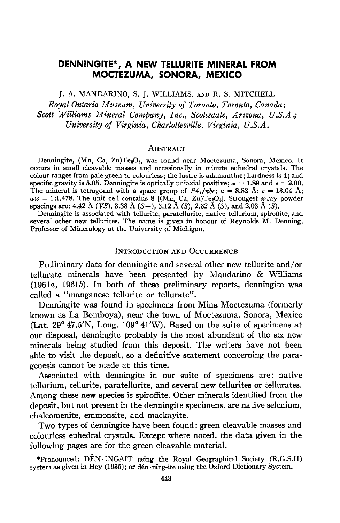# DENNINGITE\*, A NEW TELLURITE MINERAL FROM MOCTEZUMA, SONORA, MEXICO

J. A. MANDARINO, S. J. WILLIAMS, axo R. S. MITCHELL

Royal Ontario Museum, University of Toronto, Toronto, Canada: Scott Williams Mineral Company, Inc., Scottsdale, Arizona, U.S.A.; University of Virginia, Charlottesville, Virginia, U.S.A,

#### **ABSTRACT**

Denningite, (Mn, Ca, Zn)Te<sub>2</sub>O<sub>5</sub>, was found near Moctezuma, Sonora, Mexico. It occurs in small cleavable masses and occasionally in minute euhedral crystals. The colour ranges from pale green to colourless; the lustre is adamantine; hardness is 4; and specific gravity is 5.05. Denningite is optically uniaxial positive;  $\omega = 1.89$  and  $\epsilon = 2.00$ . The mineral is tetragonal with a space group of  $P_{2a}/abc$ ;  $a = 8.82$  Å;  $c = 13.04$  Å;  $a:c = 1:1.478$ . The unit cell contains 8 [(Mn, Ca, Zn)Te $_2O_5$ ]. Strongest x-ray powder spacings are: 4.42 Å (VS), 3.38 Å (S+), 3.12 Å (S), 2.62 Å (S), and 2.03 Å (S).

Denningite is associated with tellurite, paratellurite, native tellurium, spiroffite, and several other new tellurites. The name is given in honour of Reynolds M. Denning, Professor of Mineralogy at the University of Michigan.

#### INTRODUCTION AND OCCURRENCE

Preliminary data for denningite and several other new tellurite and/or tellurate minerals have been presented by Mandarino & Williams  $(1961a, 1961b)$ . In both of these preliminary reports, denningite was called a "manganese tellurite or tellurate".

Denningite was found in specimens from Mina Moctezuma (formerly known as La Bomboya), near the town of Moctezuma, Sonora, Mexico (Lat.  $29^{\circ}$  47.5'N, Long. 109° 41'W). Based on the suite of specimens at our disposal, denningite probably is the most abundant of the six new minerals being studied from this deposit. The writers have not been able to visit the deposit, so a definitive statement concerning the paragenesis cannot be made at this time.

Associated with denningite in our suite of specimens are: native tellurium, tellurite, paratellurite, and several new tellurites or tellurates. Among these new species is spiroffite. Other minerals identified from the deposit, but not present in the denningite specimens, are native selenium, chalcomenite, emmonsite, and mackayite.

Two types of denningite have been found: green cleavable masses and colourless euhedral crystals. Except where noted, the data given in the following pages are for the green cleavable material.

\*Pronounced:  $\vec{DEN}$ .INGAIT using the Royal Geographical Society (R.G.S.II) system as given in Hey (1955); or děn  $\cdot$ ning-ite using the Oxford Dictionary System.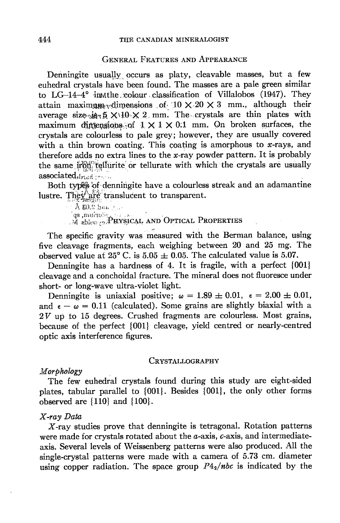#### **GENERAL FEATURES AND APPEARANCE**

Denningite usually occurs as platy, cleavable masses, but a few euhedral crystals have been found. The masses are a pale green similar to  $LG-14-4^{\circ}$  in the colour classification of Villalobos (1947). They attain maximum dimensions of  $10 \times 20 \times 3$  mm., although their average size is  $\times 10 \times 2$  mm. The crystals are thin plates with maximum dimensions of  $1 \times 1 \times 0.1$  mm. On broken surfaces, the crystals are colourless to pale grey; however, they are usually covered with a thin brown coating. This coating is amorphous to  $x$ -rays, and therefore adds no extra lines to the x-ray powder pattern. It is probably the same iron tellurite or tellurate with which the crystals are usually  $associated_{\text{third}}$ 

Both types of denningite have a colourless streak and an adamantine lustre. They are translucent to transparent.

A 80.2 bon ( ... ge murnik by Sical AND OPTICAL PROPERTIES

The specific gravity was measured with the Berman balance, using five cleavage fragments, each weighing between 20 and 25 mg. The observed value at  $25^{\circ}$  C, is  $5.05 \pm 0.05$ . The calculated value is 5.07.

Denningite has a hardness of 4. It is fragile, with a perfect {001} cleavage and a conchoidal fracture. The mineral does not fluoresce under short- or long-wave ultra-violet light.

Denningite is uniaxial positive;  $\omega = 1.89 \pm 0.01$ ,  $\epsilon = 2.00 \pm 0.01$ , and  $\epsilon - \omega = 0.11$  (calculated). Some grains are slightly biaxial with a  $2V$  up to 15 degrees. Crushed fragments are colourless. Most grains, because of the perfect {001} cleavage, yield centred or nearly-centred optic axis interference figures.

#### CRYSTALLOGRAPHY

### Morphology

The few euhedral crystals found during this study are eight-sided plates, tabular parallel to {001}. Besides {001}, the only other forms observed are  $\{110\}$  and  $\{100\}$ .

### X-ray Data

 $X$ -ray studies prove that denningite is tetragonal. Rotation patterns were made for crystals rotated about the  $a$ -axis,  $c$ -axis, and intermediateaxis. Several levels of Weissenberg patterns were also produced. All the single-crystal patterns were made with a camera of 5.73 cm. diameter using copper radiation. The space group  $P4_2$ /nbc is indicated by the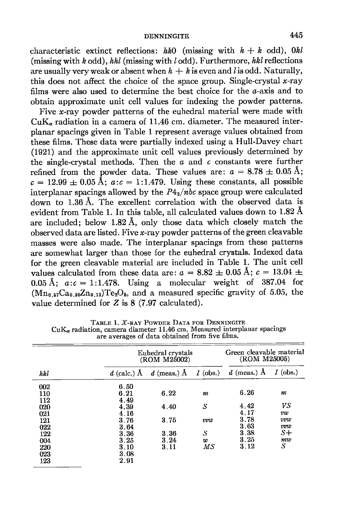characteristic extinct reflections: hk0 (missing with  $h + k$  odd), Okl (missing with  $k$  odd),  $hhl$  (missing with  $l$  odd). Furthermore,  $hkl$  reflections are usually very weak or absent when  $h + k$  is even and l is odd. Naturally, this does not affect the choice of the space group. Single-crystal  $x$ -ray films were also used to determine the best choice for the  $a$ -axis and to obtain approximate unit cell values for indexing the powder patterns.

Five x-ray powder patterns of the euhedral material were made with  $CuK<sub>z</sub>$  radiation in a camera of  $11.46$  cm. diameter. The measured interplanar spacings given in Table 1 represent average values obtained from these films. These data were partially indexed using a Hull-Davey chart (1921) and the approximate unit cell values previously determined by the single-crystal methods. Then the  $a$  and  $c$  constants were further refined from the powder data. These values are:  $a=8.78 \pm 0.05$  Å;  $c = 12.99 \pm 0.05 \text{ Å}$ ;  $a:c = 1:1.479$ . Using these constants, all possible interplanar spacings allowed by the  $P4_2/nbc$  space group were calculated down to 1.36 A. The excellent correlation with the observed data is evident from Table 1. In this table, all calculated values down to  $1.82 \text{ Å}$ are included; below 1.82 A, only those data which closely match the observed data are listed. Five  $x$ -ray powder patterns of the green cleavable masses were also made. The interplanar spacings from these patterns are somewhat larger than those for the euhedral crystals. Indexed data for the green cleavable material are included in Table L. The unit cell values calculated from these data are:  $a=8.82 \pm 0.05$  Å;  $c=13.04 \pm 0.05$ 0.05 Å;  $a:c = 1:1.478$ . Using a molecular weight of 387.04 for  $(Mn_{0.57}Ca_{0.30}Zn_{0.13})Te_2O_5$ , and a measured specific gravity of 5.05, the value determined for  $Z$  is  $8$  (7.97 calculated).

| hkl | Euhedral crystals<br>(ROM M25002) |                   |            | Green cleavable material<br>(ROM M25005) |            |
|-----|-----------------------------------|-------------------|------------|------------------------------------------|------------|
|     | $d$ (calc.) A                     | $d$ (meas.) $\AA$ | $I$ (obs.) | $d$ (meas.) A                            | $I$ (obs.) |
| 002 | 6.50                              |                   |            |                                          |            |
| 110 | 6.21                              | 6.22              | m          | 6.26                                     | m          |
| 112 | 4.49                              |                   |            |                                          |            |
| 020 | 4.39                              | 4.40              | S          | 4.42                                     | VS         |
| 021 | 4.16                              |                   |            | 4.17                                     | vw         |
| 121 | 3.76                              | 3.75              | vvu        | 3.78                                     | <b>TTW</b> |
| 022 | 3.64                              |                   |            | 3.63                                     | vvw        |
| 122 | 3.36                              | 3.36              | S          | 3.38                                     | $S+$       |
| 004 | 3.25                              | 3.24              | w          | 3.25                                     | mw         |
| 220 | 3.10                              | 3.11              | МS         | 3.12                                     | S          |
| 023 | 3.08                              |                   |            |                                          |            |
| 123 | 2.91                              |                   |            |                                          |            |

TABLE 1. X-RAY POWDER DATA FOR DENNINGITE<br>CuK<sub>a</sub> radiation, camera diameter 11.46 cm. Measured interplanar spacings<br>are averages of data obtained from five films.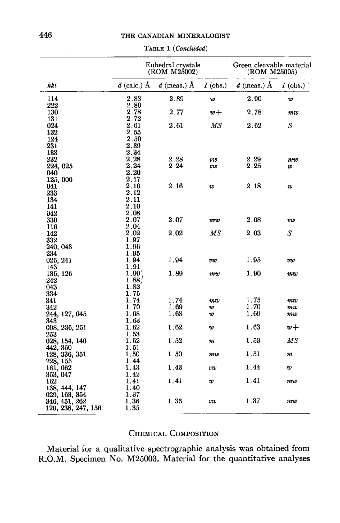### THE CANADIAN MINERALOGIST

|                    | Euhedral crystals<br>(ROM M25002) |                   |            | Green cleavable material<br>(ROM M25005) |            |
|--------------------|-----------------------------------|-------------------|------------|------------------------------------------|------------|
| hkl                | $d$ (calc.) Å                     | $d$ (meas.) $\AA$ | $I$ (obs.) | $d$ (meas.) $\AA$                        | $I$ (obs.) |
| 114                | 2.88                              | 2.89              | w          | 2.90                                     | w          |
| 222                | 2.80                              |                   |            |                                          |            |
| 130                | 2.78                              | 2.77              | $w +$      | 2.78                                     | mw         |
| 131                | 2.72                              |                   |            |                                          |            |
| 024                | 2.61                              | 2.61              | МS         | 2.62                                     | S          |
| 132                | $2.55\,$                          |                   |            |                                          |            |
| 124                | 2.50                              |                   |            |                                          |            |
| 231                | 2.39                              |                   |            |                                          |            |
| 133                | 2.34                              |                   |            |                                          |            |
| 232                | 2.28                              | 2.28              | vw         | 2.29                                     | mw         |
| 224, 025           | 2.24                              | 2.24              | vw         | 2.25                                     | w          |
| 040                | 2.20                              |                   |            |                                          |            |
| 125,006            | $2.17\,$                          |                   |            |                                          |            |
| 041                | $\bf 2.16$                        | 2.16              | w          | 2.18                                     | w          |
| 233                | $\bf 2.12$                        |                   |            |                                          |            |
| 134                | 2.11                              |                   |            |                                          |            |
| 141                | 2.10                              |                   |            |                                          |            |
| 042                | 2.08                              |                   |            |                                          |            |
| 330                | 2.07                              | 2.07              | vvw        | 2.08                                     | vw         |
| 116                | 2.04                              |                   |            |                                          |            |
| 142                | $\bf 2.02$                        | 2.02              | МS         | 2.03                                     | S          |
| 332                | 1.97                              |                   |            |                                          |            |
| 240, 043           | 1.96                              |                   |            |                                          |            |
| 234                | 1.95                              |                   |            |                                          |            |
| 026, 241           | 1.94                              | 1.94              | vw         | 1.95                                     | vw         |
| 143                | 1.91                              |                   |            |                                          |            |
| 135, 126           | 1.90)                             | 1.89              | mw         | 1.90                                     | mw         |
| 242                | 1.881                             |                   |            |                                          |            |
| 043                | 1.82                              |                   |            |                                          |            |
| 334                | 1.75                              |                   |            |                                          |            |
| 341                | 1.74                              | 1.74              | m w        | 1.75                                     | mw         |
| 342                | 1.70                              | 1.69              | w          | 1.70                                     | mw         |
| 244, 127, 045      | $1.68\,$                          | 1.68              | w          | 1.69                                     | mw         |
| 343                | 1.63                              |                   |            |                                          |            |
| 008, 236, 251      | 1.62                              | 1.62              | w          | 1.63                                     | $w +$      |
| 253                | 1.53                              |                   |            |                                          |            |
| 028, 154, 146      | 1.52                              | 1.52              | m          | 1.53                                     | MS         |
| 442, 350           | 1.51                              |                   |            |                                          |            |
| 128, 336, 351      | 1.50                              | 1.50              | mw         | 1.51                                     | m          |
| 228, 155           | 1.44                              |                   |            |                                          |            |
| 161, 062           | 1.43                              | 1.43              | vw         | 1.44                                     | w          |
| 353, 047           | 1.42                              |                   |            |                                          |            |
| 162                | 1.41                              | 1.41              | w          | 1.41                                     | m w        |
| 138, 444, 147      | 1.40                              |                   |            |                                          |            |
| 029, 163, 354      | 1.37                              |                   |            |                                          |            |
| 346, 451, 262      | $1.36\,$                          | 1.36              | vw         | 1.37                                     | mw         |
| 129, 238, 247, 156 | 1.35                              |                   |            |                                          |            |

#### TABLE 1 (Concluded)

# CHEMICAL COMPOSITION

Material for a qualitative spectrographic analysis was obtained from R.O.M. Specimen No. M25003. Material for the quantitative analyses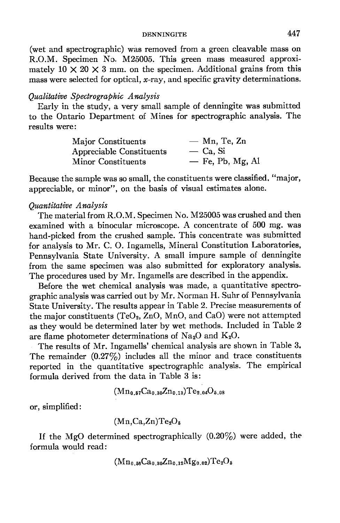(wet and spectrographic) was removed from a green cleavable mass on R.O.M. Specimen No. M25005. This green mass measured approximately  $10 \times 20 \times 3$  mm. on the specimen. Additional grains from this mass were selected for optical,  $x$ -ray, and specific gravity determinations.

### Qualitative Spectrographic Analysis

Early in the study, a very small sample of denningite was submitted to the Ontario Department of Mines for spectrographic analysis. The results were:

| Major Constituents       | $-$ Mn, Te, Zn     |
|--------------------------|--------------------|
| Appreciable Constituents | $\sim$ Ca. Si      |
| Minor Constituents       | $-$ Fe, Pb, Mg, Al |

Because the sample was so small, the constituents were classified. "major, appreciable, or minor", on the basis of visual estimates alone.

# Quantitative Analysis

The material from R.O.M. Specimen No. M25005 was crushed and then examined with a binocular microscope. A concentrate of 500 mg. was hand-picked from the crushed sample. This concentrate was submitted for analysis to Mr. C. O. Ingamells, Mineral Constitution Laboratories, Pennsylvania State University. A small impure sample of denningite from the same specimen was also submitted for exploratory analysis. The procedures used by Mr. Ingamells are described in the appendix.

Before the wet chemical analysis was made, a quantitative spectrographic analysis was carried out by Mr. Norman H. Suhr of Pennsylvania State University. The results appear in Table 2. Precise measurements of the major constituents (TeO<sub>2</sub>, ZnO, MnO, and CaO) were not attempted as they would be determined later by wet methods. Included in Table 2 are flame photometer determinations of  $\text{Na}_2\text{O}$  and  $\text{K}_2\text{O}$ .

The results of Mr. Ingamells' chemical analysis are shown in Table 3. The remainder  $(0.27\%)$  includes all the minor and trace constituents reported in the quantitative spectrographic analysis. The empirical formula derived from the data in Table 3 is:

$$
(\mathrm{Mn_{0.57}Ca_{0.30}Zn_{0.13})Te_{2.04}O_{5.08}}
$$

or, simplified:

 $(Mn, Ca, Zn)Te<sub>2</sub>O<sub>5</sub>$ 

If the MgO determined spectrographically  $(0.20\%)$  were added, the formula would read:

$$
\rm (Mn_{0.56}Ca_{0.30}Zn_{0.12}Mg_{0.02})Te_2O_5
$$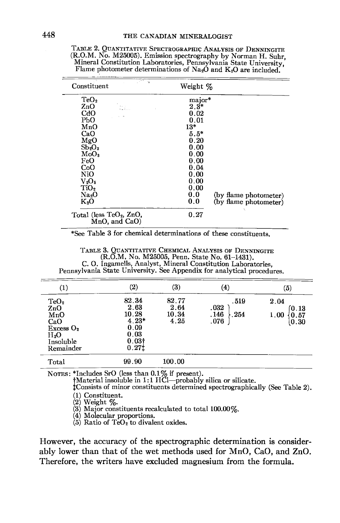TABLE 2. QUANTITATIVE SPECTROGRAPHIC ANALYSIS OF DENNINGITE (R.O.M. No. M25005). Emission spectrography by Norman H. Suhr, Mineral Constitution Laboratories, Pennsylvania State University, Flame photometer determinations of Na<sub>2</sub>O and K<sub>2</sub>O are included.

| anti sa<br>Constituent                     | Weight %                     |
|--------------------------------------------|------------------------------|
| TeO <sub>2</sub>                           | major*                       |
| ZnO<br>III.                                | $2.3*$                       |
| CdO                                        | 0.02                         |
| РЬО                                        | 0.01                         |
| MnO                                        | $13*$                        |
| CaO                                        | $5.5*$                       |
| MgO                                        | 0.20                         |
| $Sb_2O_3$                                  | 0.00                         |
| MoO <sub>3</sub>                           | 0.00                         |
| FeO                                        | 0.00                         |
| CoO                                        | 0.04                         |
| NiO                                        | 0.00                         |
| $\rm V_{2}O_{5}$                           | 0.00                         |
| TiO <sub>2</sub>                           | 0.00                         |
| Na <sub>2</sub> O                          | 0.0<br>(by flame photometer) |
| $K_2O$                                     | 0.0<br>(by flame photometer) |
| Total (less $TeO2$ , ZnO,<br>MnO, and CaO) | 0.27                         |

\*See Table 3 for chemical determinations of these constituents.

TABLE 3. QUANTITATIVE CHEMICAL ANALYSIS OF DENNINGITE C.O.M. No. M25005, Penn. State No. 61-1431).<br>C. O. Ingamells, Analyst, Mineral Constitution Laboratories,<br>Pennsylvania State University. See Appendix for analytical procedures.

| $\left( 1\right)$                                                                                    | $\left( 2\right)$                                                               | $\left( 3\right)$              | (4)                                  | (5)                                   |
|------------------------------------------------------------------------------------------------------|---------------------------------------------------------------------------------|--------------------------------|--------------------------------------|---------------------------------------|
| TeO <sub>2</sub><br>ZnO<br>MnO<br>CaO<br>Excess O <sub>2</sub><br>$H_{2}O$<br>Insoluble<br>Remainder | 82.34<br>2.63<br>10.28<br>$4.23*$<br>0.09<br>0.03<br>0.03 <sup>†</sup><br>0.271 | 82.77<br>2.64<br>10.34<br>4.25 | .519<br>.032<br>.146<br>.254<br>.076 | 2.04<br>(0.13<br>0.57<br>1.00<br>0.30 |
| Total                                                                                                | 99.90                                                                           | 100.00                         |                                      |                                       |

NOTES: \*Includes SrO (less than 0.1% if present).<br>
†Material insoluble in 1:1 HCl—probably silica or silicate.<br>
†Consists of minor constituents determined spectrographically (See Table 2). (1) Constituent.

(2) Weight %.<br>(3) Meight %.<br>(3) Major constituents recalculated to total 100.00%.

(4) Molecular proportions.<br>
(5) Ratio of TeO<sub>2</sub> to divalent oxides.

However, the accuracy of the spectrographic determination is considerably lower than that of the wet methods used for MnO, CaO, and ZnO. Therefore, the writers have excluded magnesium from the formula.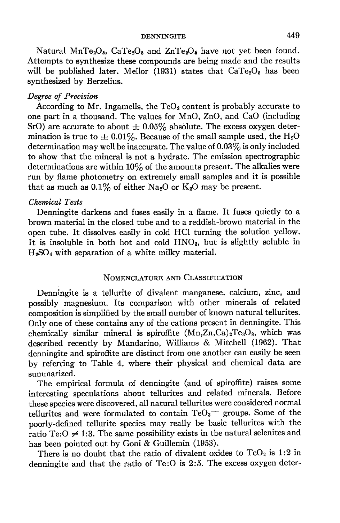Natural MnTe<sub>2</sub>O<sub>5</sub>, CaTe<sub>2</sub>O<sub>5</sub> and ZnTe<sub>2</sub>O<sub>5</sub> have not yet been found. Attempts to synthesize these compounds are being made and the results will be published later. Mellor (1931) states that  $CaTe<sub>2</sub>O<sub>5</sub>$  has been synthesized by Berzelius.

### Degree of Precision

According to Mr. Ingamells, the  $TeO<sub>2</sub>$  content is probably accurate to one part in a thousand. The values for MnO,  $ZnO$ , and  $CaO$  (including SrO) are accurate to about  $\pm$  0.05% absolute. The excess oxygen determination is true to  $\pm$  0.01%. Because of the small sample used, the H<sub>2</sub>O determination may well be inaccurate. The value of  $0.03\%$  is only included to show that the mineral is not a hydrate. The emission spectrographic determinations are within  $10\%$  of the amounts present. The alkalies were run by flame photometry on extremely small samples and it is possible that as much as  $0.1\%$  of either Na<sub>2</sub>O or K<sub>2</sub>O may be present.

### Chemical Tests

Denningite darkens and fuses easily in a flame. It fuses quietly to a brown material in the closed tube and to a reddish-brown material in the open tube. It dissolves easily in cold HCI turning the solution yellow. It is insoluble in both hot and cold  $HNO<sub>3</sub>$ , but is slightly soluble in  $H<sub>2</sub>SO<sub>4</sub>$  with separation of a white milky material.

## NOMENCLATURE AND CLASSIFICATION

Denningite is a tellurite of divalent manganese, calcium, zinc, and possibly magnesium. Its comparison with other minerals of related composition is simplified by the small number of known natural tellurites. Only one of these contains any of the cations present in denningite. This chemically similar mineral is spiroffite  $(Mn,Zn,Ca)_{2}Te_{3}O_{8}$ , which was described recently by Mandarino, Williams & Mitchell (1962). That denningite and spiroffite are distinct from one another can easily be seen by referring to Table 4, where their physical and chemical data are summarized.

The empirical formula of denningite (and of spiroffite) raises some interesting speculations about tellurites and related minerals. Before these species were discovered, all natural tellurites were considered normal tellurites and were formulated to contain  $TeO_3$  groups. Some of the poorly-defined tellurite species may really be basic tellurites with the ratio Te: $O \neq 1:3$ . The same possibility exists in the natural selenites and has been pointed out by Goni & Guillemin (1953).

There is no doubt that the ratio of divalent oxides to  $TeO<sub>2</sub>$  is 1:2 in denningite and that the ratio of Te:O is 2:5. The excess oxygen deter-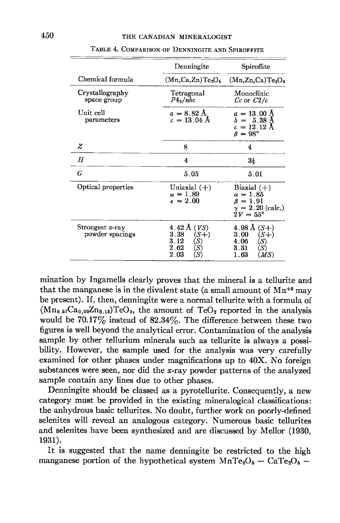|                                       | Denningite                                                                           | Spiroffite                                                                                         |  |
|---------------------------------------|--------------------------------------------------------------------------------------|----------------------------------------------------------------------------------------------------|--|
| Chemical formula                      | $(Mn, Ca, Zn)Te2O5$                                                                  | (Mn,Zn,Ca)Te <sub>3</sub> O <sub>8</sub>                                                           |  |
| Crystallography<br>space group        | Tetragonal<br>$P4_2/$ nbc                                                            | Monoclinic<br>$Cc$ or $C2/c$                                                                       |  |
| Unit cell<br>parameters               | $a = 8.82 \text{ Å}$<br>$c = 13.04 \text{ Å}$                                        | $a=13.00~\mathrm{\AA}$<br>$b = 5.38 \text{ Å}$<br>$c = 12.12 \text{ Å}$<br>$\beta = 98^{\circ}$    |  |
| Z                                     | 8                                                                                    | 4                                                                                                  |  |
| Η                                     | 4                                                                                    | $3\frac{1}{2}$                                                                                     |  |
| G                                     | 5.05                                                                                 | 5.01                                                                                               |  |
| Optical properties                    | Uniaxial $(+)$<br>$\omega = 1.89$<br>$\epsilon = 2.00$                               | Biaxial $(+)$<br>$\alpha = 1.85$<br>$\beta = 1.91$<br>$\gamma = 2.20$ (calc.)<br>$2V = 55^{\circ}$ |  |
| Strongest $x$ -ray<br>powder spacings | 4.42 Å $(VS)$<br>3.38<br>$(S+)$<br>3.12<br>(S)<br>$2.62\,$<br>(S)<br>$2.03\,$<br>(S) | 4.98 Å $(S+)$<br>3.00<br>$(S+)$<br>4.06<br>(S)<br>3.31<br>(S)<br>1.63<br>(MS)                      |  |

TABLE 4. COMPARISON OF DENNINGITE AND SPIROFFITE

mination by Ingamells clearly proves that the mineral is a tellurite and that the manganese is in the divalent state (a small amount of  $Mn^{+8}$  may be present). If, then, denningite were a normal tellurite with a formula of  $(Mn_{0.57}Ca_{0.30}Zn_{0.13})TeO_3$ , the amount of  $TeO_2$  reported in the analysis would be  $70.17\%$  instead of  $82.34\%$ . The difference between these two figures is well beyond the analytical error. Contamination of the analysis sample by other tellurium minerals such as tellurite is always a possibility. However, the sample used for the analysis was very carefully examined for other phases under magnifications up to 40X. No foreign substances were seen, nor did the x-ray powder patterns of the analyzed sample contain any lines due to other phases.

Denningite should be classed as a pyrotellurite. Consequently, a new category must be provided in the existing mineral opical classifications: the anhydrous basic tellurites. No doubt, further work on poorly-defined selenites will reveal an analogous category. Numerous basic tellurites and selenites have been synthesized and are discussed by Mellor (1930, 1931).

It is suggested that the name denningite be restricted to the high manganese portion of the hypothetical system  $MnTe<sub>2</sub>O<sub>5</sub> - CaTe<sub>2</sub>O<sub>5</sub> -$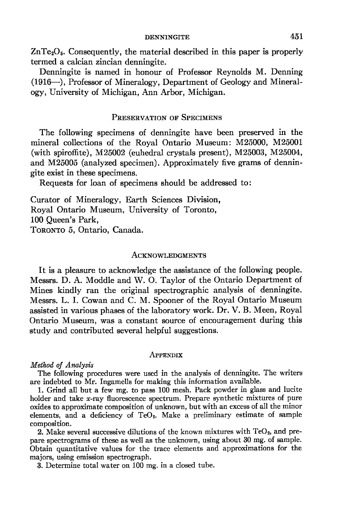DENNINGITE 451

 $ZnTe<sub>2</sub>O<sub>5</sub>$ . Consequently, the material described in this paper is properly termed a calcian zincian denningite.

Denningite is named in honour of Professor Reynolds M. Denning (1916-), Professor of Mineralogy, Department of Geology and Mineralogy, University of Michigan, Ann Arbor, Michigan.

### PRESERVATION OF SPECIMENS

The following specimens of denningite have been preserved in the mineral collections of the Royal Ontario Museum: M25000, M25001 (with spiroffite), M25002 (euhedral crystals present), M25003, M25004, and M25005 (analyzed specimen). Approximately five grams of denningite exist in these specimens.

Requests for loan of specimens should be addressed to:

Curator of Mineralogy, Earth Sciences Division, Royal Ontario Museum, University of Toronto, 100 Queen's Park, TORONTO 5, Ontario, Canada.

### ACKNOWLEDGMENTS

It is a pleasure to acknowledge the assistance of the following people. Messrs. D. A. Moddle and W. O. Taylor of the Ontario Department of Mines kindly ran the original spectrographic analysis of denningite. Messrs. L. I. Cowan and C. M. Spooner of the Royal Ontario Museum assisted in various phases of the laboratory work. Dr. V. B. Meen, Royal Ontario Museum, was a constant source of encouragement during this study and contributed several helpful suggestions.

#### APPENDIX

## Method of Analysis

The following procedures were used in the analysis of denningite. The writers are indebted to Mr. Ingamells for making this information available.

1. Grind all but a few mg. to pass 100 mesh. Pack powder in glass and lucite holder and take x-ray fluorescence spectrum. Prepare synthetic mixtures of pure oxides to approximate composition of unknown, but with an excess of all the minor elements, and a deficiency of  $TeO<sub>2</sub>$ . Make a preliminary estimate of sample composition.

2. Make several successive dilutions of the known mixtures with  $TeO<sub>2</sub>$ , and prepare spectrograms of these as well as the unknown, using about 30 mg. of sample. Obtain quantitative values for the trace elements and approximations for the majors, using emission spectrograph.

3. Determine total water on 100 mg. in a closed tube.